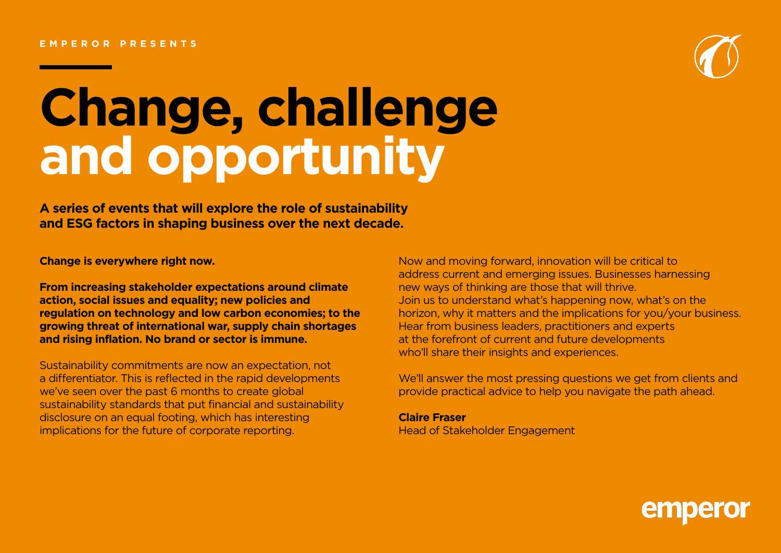## **EMPEROR PRESENTS**



# **Change, challenge and opportunity**

**A series of events that will explore the role of sustainability and ESG factors in shaping business over the next decade.** 

**Change is everywhere right now.** 

**From increasing stakeholder expectations around climate action, social issues and equality; new policies and regulation on technology and low carbon economies; to the growing threat of international war, supply chain shortages and rising inflation. No brand or sector is immune.** 

Sustainability commitments are now an expectation, not a differentiator. This is reflected in the rapid developments we've seen over the past 6 months to create global sustainability standards that put financial and sustainability disclosure on an equal footing, which has interesting implications for the future of corporate reporting.

Now and moving forward, innovation will be critical to address current and emerging issues. Businesses harnessing new ways of thinking are those that will thrive. Join us to understand what's happening now, what's on the horizon, why it matters and the implications for you/your business. Hear from business leaders, practitioners and experts at the forefront of current and future developments who'll share their insights and experiences.

We'll answer the most pressing questions we get from clients and provide practical advice to help you navigate the path ahead.

**Claire Fraser** Head of Stakeholder Engagement

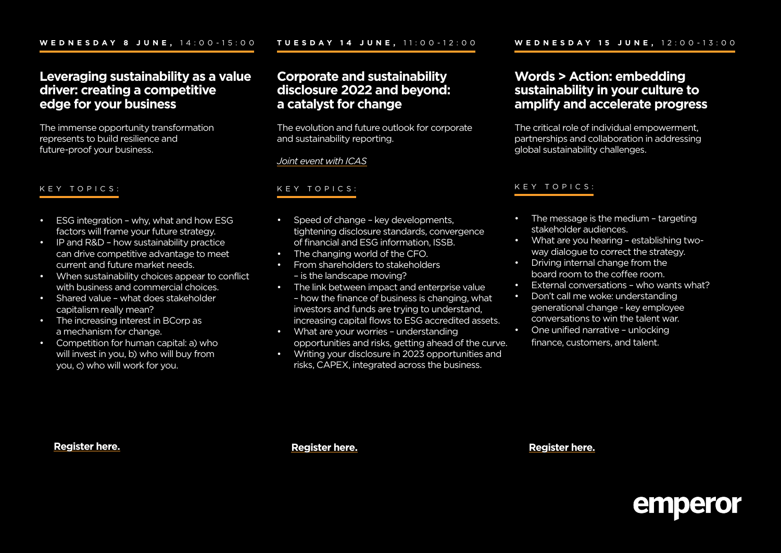# **Leveraging sustainability as a value driver: creating a competitive edge for your business**

The immense opportunity transformation represents to build resilience and future-proof your business.

## KEY TOPICS:

- ESG integration why, what and how ESG factors will frame your future strategy.
- IP and R&D how sustainability practice can drive competitive advantage to meet current and future market needs.
- When sustainability choices appear to conflict with business and commercial choices.
- Shared value what does stakeholder capitalism really mean?
- The increasing interest in BCorp as a mechanism for change.
- Competition for human capital: a) who will invest in you, b) who will buy from you, c) who will work for you.

# **Corporate and sustainability disclosure 2022 and beyond: a catalyst for change**

The evolution and future outlook for corporate and sustainability reporting.

## *[Joint event with ICAS](https://www.icas.com/)*

## KEY TOPICS:

- Speed of change key developments, tightening disclosure standards, convergence of financial and ESG information, ISSB.
- The changing world of the CFO.
- From shareholders to stakeholders – is the landscape moving?
- The link between impact and enterprise value – how the finance of business is changing, what investors and funds are trying to understand, increasing capital flows to ESG accredited assets.
- What are your worries understanding opportunities and risks, getting ahead of the curve.
- Writing your disclosure in 2023 opportunities and risks, CAPEX, integrated across the business.

# **Words > Action: embedding sustainability in your culture to amplify and accelerate progress**

The critical role of individual empowerment, partnerships and collaboration in addressing global sustainability challenges.

#### KEY TOPICS:

- The message is the medium targeting stakeholder audiences.
- What are you hearing establishing twoway dialogue to correct the strategy.
- Driving internal change from the board room to the coffee room.
- External conversations who wants what?
- Don't call me woke: understanding generational change - key employee conversations to win the talent war.
- One unified narrative unlocking finance, customers, and talent.

## **[Register here](https://teams.microsoft.com/registration/KEVYK3pz90SE7aXmd8eHkw,f9ru2dGM9ECL-oNyugZm9g,hQO_vxidlk2SDUFDoWbdKw,S4Fc-clHlE2mI2noCMSlgg,UcEWVqbtuEyqn6rMUK-kBg,6Idzp0rDMEy2J-ANhwsstQ?mode=read&tenantId=2b584528-737a-44f7-84ed-a5e677c78793).**

**[Register here.](https://teams.microsoft.com/registration/KEVYK3pz90SE7aXmd8eHkw,f9ru2dGM9ECL-oNyugZm9g,hQO_vxidlk2SDUFDoWbdKw,KKfWNprN80KF9Kf8GzfytA,taprMzWKwUGaxVtPxJPwTA,3Q6lE5WMzUCEhKTMQ4v12g?mode=read&tenantId=2b584528-737a-44f7-84ed-a5e677c78793) [Register here.](https://teams.microsoft.com/registration/KEVYK3pz90SE7aXmd8eHkw,f9ru2dGM9ECL-oNyugZm9g,hQO_vxidlk2SDUFDoWbdKw,i0hPX98zD0qwIhagdLO2cg,mHVj58iFyEqhI_xwH0y5-Q,Uu--MLAaMUyWIwp-tD62gA?mode=read&tenantId=2b584528-737a-44f7-84ed-a5e677c78793)**